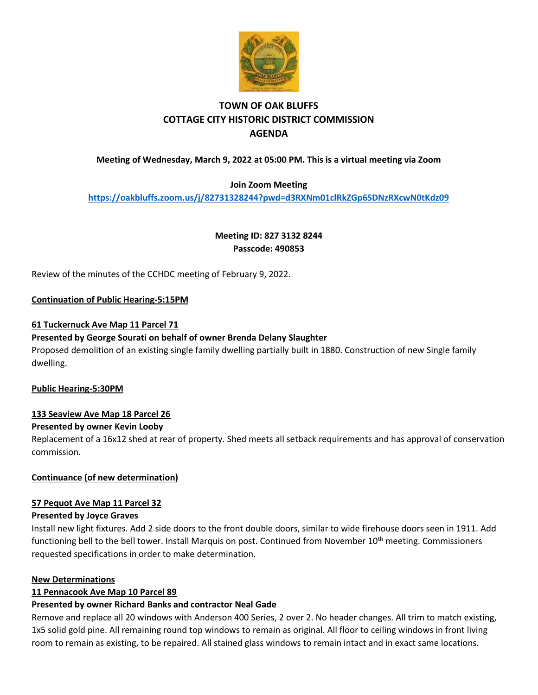

# **TOWN OF OAK BLUFFS COTTAGE CITY HISTORIC DISTRICT COMMISSION AGENDA**

# **Meeting of Wednesday, March 9, 2022 at 05:00 PM. This is a virtual meeting via Zoom**

## **Join Zoom Meeting**

**<https://oakbluffs.zoom.us/j/82731328244?pwd=d3RXNm01clRkZGp6SDNzRXcwN0tKdz09>**

**Meeting ID: 827 3132 8244 Passcode: 490853**

Review of the minutes of the CCHDC meeting of February 9, 2022.

## **Continuation of Public Hearing-5:15PM**

## **61 Tuckernuck Ave Map 11 Parcel 71**

## **Presented by George Sourati on behalf of owner Brenda Delany Slaughter**

Proposed demolition of an existing single family dwelling partially built in 1880. Construction of new Single family dwelling.

**Public Hearing-5:30PM**

# **133 Seaview Ave Map 18 Parcel 26**

#### **Presented by owner Kevin Looby**

Replacement of a 16x12 shed at rear of property. Shed meets all setback requirements and has approval of conservation commission.

# **Continuance (of new determination)**

#### **57 Pequot Ave Map 11 Parcel 32**

#### **Presented by Joyce Graves**

Install new light fixtures. Add 2 side doors to the front double doors, similar to wide firehouse doors seen in 1911. Add functioning bell to the bell tower. Install Marquis on post. Continued from November 10<sup>th</sup> meeting. Commissioners requested specifications in order to make determination.

#### **New Determinations**

#### **11 Pennacook Ave Map 10 Parcel 89**

#### **Presented by owner Richard Banks and contractor Neal Gade**

Remove and replace all 20 windows with Anderson 400 Series, 2 over 2. No header changes. All trim to match existing, 1x5 solid gold pine. All remaining round top windows to remain as original. All floor to ceiling windows in front living room to remain as existing, to be repaired. All stained glass windows to remain intact and in exact same locations.